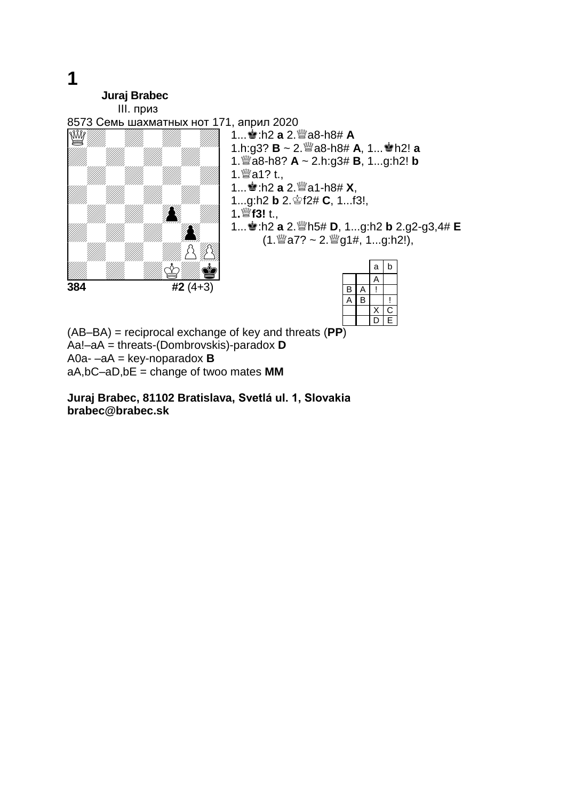**1 Juraj Brabec** III. приз 8573 Семь шахматных нот 171, април 2020 Allin Allin Allin S **384 #2** (4+3) 1...<sup>•</sup>/<sub>2</sub> :h2 **a** 2.<sup>3</sup>/<sub>38</sub>-h8# **A** 1.h:g3? **B** ~ 2.<sup>3</sup>28-h8# **A**, 1...<sup>4</sup>h2! **a** 1.a8-h8? **A** ~ 2.h:g3# **B**, 1...g:h2! **b** 1.  $32$  t., 1...<sup>●</sup> :h2 a 2.<sup>3</sup>a1-h8# **X**, 1...g:h2 **b** 2.  $\circledast$  f2# **C**, 1...f3!, 1**.f3!** t., 1...:h2 **a** 2.h5# **D**, 1...g:h2 **b** 2.g2-g3,4# **E**  $(1.$  27? ~ 2.  $^{20}$  g1#, 1...g:h2!), a b A **B**  $A$ !  $A$   $B$   $\mid$  !  $X \n C$ <br>D F

 $\overline{D}$ 

(AB–BA) = reciprocal exchange of key and threats (**PP**) Aa!–aA = threats-(Dombrovskis)-paradox **D** A0a- –aA = key-noparadox **B** aA,bC–aD,bE = change of twoo mates **MM**

**Juraj Brabec, 81102 Bratislava, Svetlá ul. 1, Slovakia brabec@brabec.sk**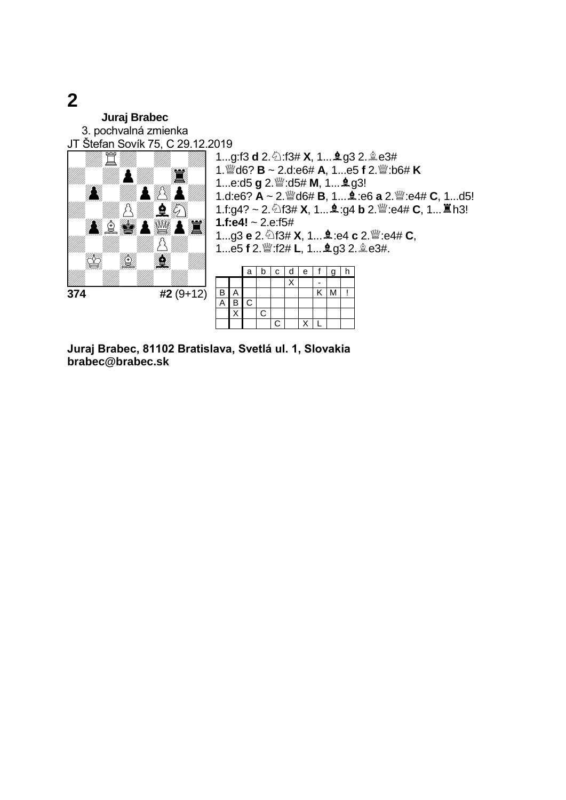**Juraj Brabec** 3. pochvalná zmienka JT Štefan Sovík 75, C 29.12.2019 **374 #2** (9+12) 1...g:f3 **d** 2. 2:f3# **X**, 1... **2**g3 2. 2e3#  $1.\stackrel{\text{def}}{=}$ d6? **B** ~ 2.d:e6# **A**, 1...e5 **f** 2. $\stackrel{\text{def}}{=}$ :b6# **K** 1...e:d5 **g** 2. as:d5# **M**, 1... **g** g3! 1.d:e6? **A** ~ 2.  $\mathcal{Q}$  d6# **B**, 1... **4** :e6 **a** 2.  $\mathcal{Q}$  :e4# **C**, 1...d5! 1.f:g4? ~ 2. 2f3# **X**, 1... **g**:g4 **b** 2. *s* ca# **C**, 1...  $\ddot{\Xi}$  h3! **1.f:e4!** ~ 2.e:f5# **1...g3 e** 2.  $\circled{1}$ f3# **X**, 1... $\mathbf{\underline{4}}$  :e4 **c** 2.  $\mathbf{\underline{w}}$  :e4# **C**, 1...e5 f 2. <sup>[2</sup>]:f2# L, 1... **g** g3 2. **g** e3#.  $a \mid b \mid c \mid d \mid e \mid f \mid g \mid h$  $\boldsymbol{\mathsf{X}}$ **B A** K M !  $\frac{\overline{B}}{X}$  C  $\overline{C}$  $C$   $X$   $L$ 

**Juraj Brabec, 81102 Bratislava, Svetlá ul. 1, Slovakia brabec@brabec.sk**

## **2**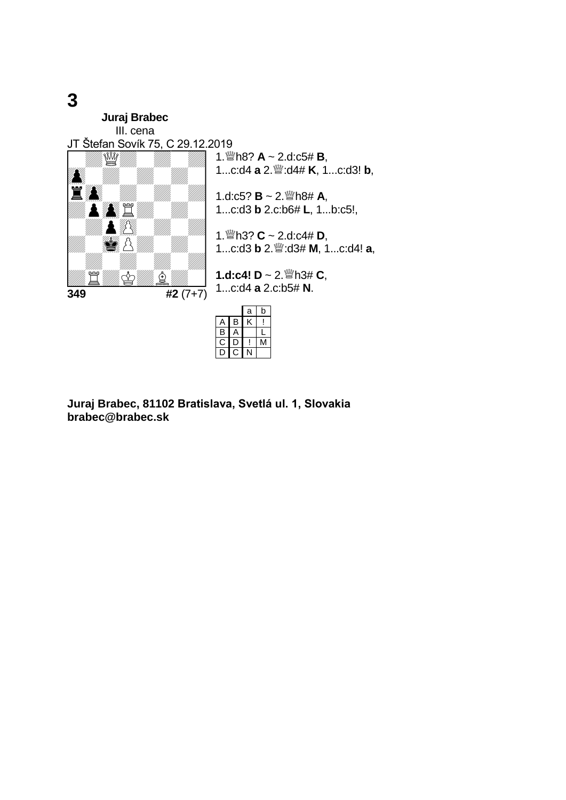**Juraj Brabec** III. cena JT Štefan Sovík 75, C 29.12.2019 **349 #2** (7+7) 1. Wh8?  $A \sim 2$ .d:c5# **B**, 1...c:d4 **a** 2.<sup>\\\\otera}</sup> :d4# **K**, 1...c:d3! **b**, 1.d:c5?  $B \sim 2.$  Wh8# A, 1...c:d3 **b** 2.c:b6# **L**, 1...b:c5!, 1.h3? **C** ~ 2.d:c4# **D**, 1...c:d3 **b** 2.:d3# **M**, 1...c:d4! **a**, **1.d:c4! D** ~ 2.h3# **C**, 1...c:d4 **a** 2.c:b5# **N**. a b  $A$   $B$   $K$  !  $B$   $A$   $L$ C D ! M<br>D C N

 $\overline{C}$  N

**Juraj Brabec, 81102 Bratislava, Svetlá ul. 1, Slovakia brabec@brabec.sk**

## **3**